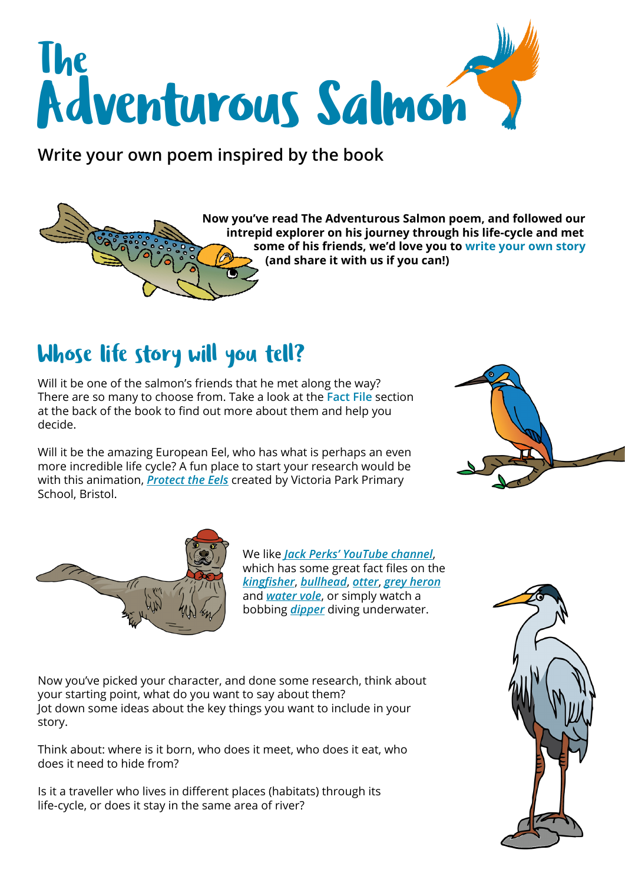

**Write your own poem inspired by the book**

#### **Now you've read The Adventurous Salmon poem, and followed our intrepid explorer on his journey through his life-cycle and met some of his friends, we'd love you to write your own story (and share it with us if you can!)**

### Whose life story will you tell?

Will it be one of the salmon's friends that he met along the way? There are so many to choose from. Take a look at the **Fact File** section at the back of the book to find out more about them and help you decide.

Will it be the amazing European Eel, who has what is perhaps an even more incredible life cycle? A fun place to start your research would be with this animation, *[Protect the Eels](https://www.youtube.com/watch?app=desktop&v=H93BARq9nks)* created by Victoria Park Primary School, Bristol.





We like *[Jack Perks' YouTube channel](https://www.youtube.com/channel/UCAfvf4-QfsivgY0oRjpTWyw)*, which has some great fact files on the *[kingfisher](https://www.youtube.com/watch?v=vZCV8Q47TIM)*, *[bullhead](https://www.youtube.com/watch?v=WYuPJeHy-oAhttp://)*, *[otter](https://www.youtube.com/watch?v=AF0i-tAMMWw)*, *[grey heron](https://www.youtube.com/watch?v=sVwx1_2T15U)* and *[water vole](https://youtu.be/8wRTFPw0Yio)*, or simply watch a bobbing *[dipper](https://www.youtube.com/watch?v=ymjPMERnX5A)* diving underwater.

Now you've picked your character, and done some research, think about your starting point, what do you want to say about them? Jot down some ideas about the key things you want to include in your story.

Think about: where is it born, who does it meet, who does it eat, who does it need to hide from?

Is it a traveller who lives in different places (habitats) through its life-cycle, or does it stay in the same area of river?